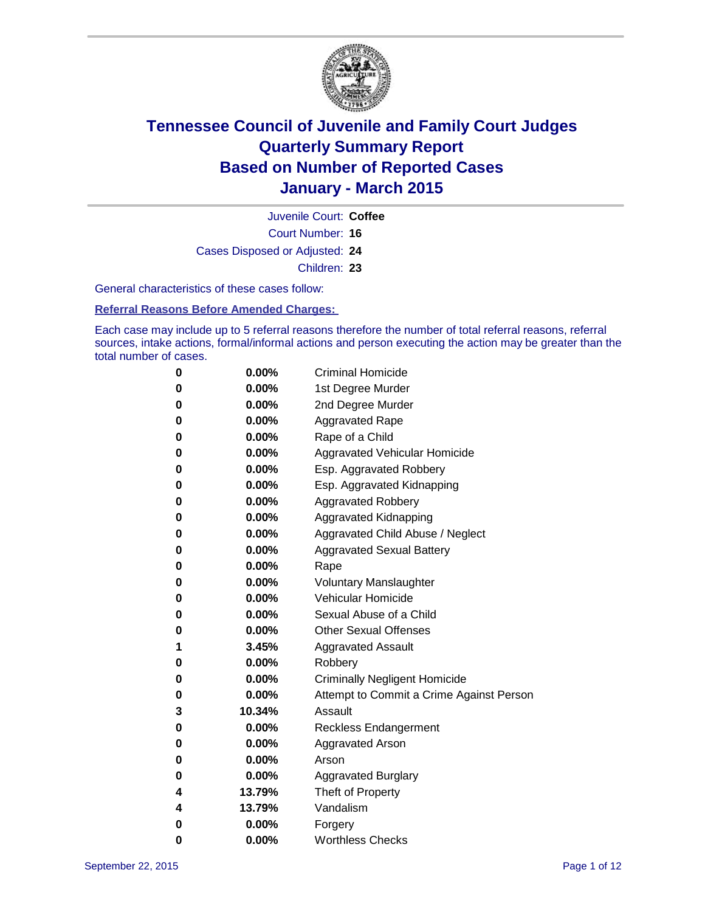

Court Number: **16** Juvenile Court: **Coffee** Cases Disposed or Adjusted: **24** Children: **23**

General characteristics of these cases follow:

**Referral Reasons Before Amended Charges:** 

Each case may include up to 5 referral reasons therefore the number of total referral reasons, referral sources, intake actions, formal/informal actions and person executing the action may be greater than the total number of cases.

| 0        | $0.00\%$ | <b>Criminal Homicide</b>                 |
|----------|----------|------------------------------------------|
| 0        | $0.00\%$ | 1st Degree Murder                        |
| $\bf{0}$ | $0.00\%$ | 2nd Degree Murder                        |
| $\bf{0}$ | $0.00\%$ | <b>Aggravated Rape</b>                   |
| 0        | $0.00\%$ | Rape of a Child                          |
| 0        | $0.00\%$ | Aggravated Vehicular Homicide            |
| 0        | 0.00%    | Esp. Aggravated Robbery                  |
| 0        | $0.00\%$ | Esp. Aggravated Kidnapping               |
| 0        | $0.00\%$ | <b>Aggravated Robbery</b>                |
| $\bf{0}$ | $0.00\%$ | Aggravated Kidnapping                    |
| $\bf{0}$ | $0.00\%$ | Aggravated Child Abuse / Neglect         |
| 0        | $0.00\%$ | <b>Aggravated Sexual Battery</b>         |
| 0        | $0.00\%$ | Rape                                     |
| 0        | $0.00\%$ | <b>Voluntary Manslaughter</b>            |
| $\bf{0}$ | 0.00%    | <b>Vehicular Homicide</b>                |
| 0        | $0.00\%$ | Sexual Abuse of a Child                  |
| 0        | $0.00\%$ | <b>Other Sexual Offenses</b>             |
| 1        | 3.45%    | <b>Aggravated Assault</b>                |
| $\bf{0}$ | 0.00%    | Robbery                                  |
| 0        | $0.00\%$ | <b>Criminally Negligent Homicide</b>     |
| 0        | $0.00\%$ | Attempt to Commit a Crime Against Person |
| 3        | 10.34%   | Assault                                  |
| $\bf{0}$ | 0.00%    | <b>Reckless Endangerment</b>             |
| 0        | $0.00\%$ | <b>Aggravated Arson</b>                  |
| 0        | $0.00\%$ | Arson                                    |
| $\bf{0}$ | $0.00\%$ | <b>Aggravated Burglary</b>               |
| 4        | 13.79%   | Theft of Property                        |
| 4        | 13.79%   | Vandalism                                |
| $\bf{0}$ | $0.00\%$ | Forgery                                  |
| 0        | 0.00%    | <b>Worthless Checks</b>                  |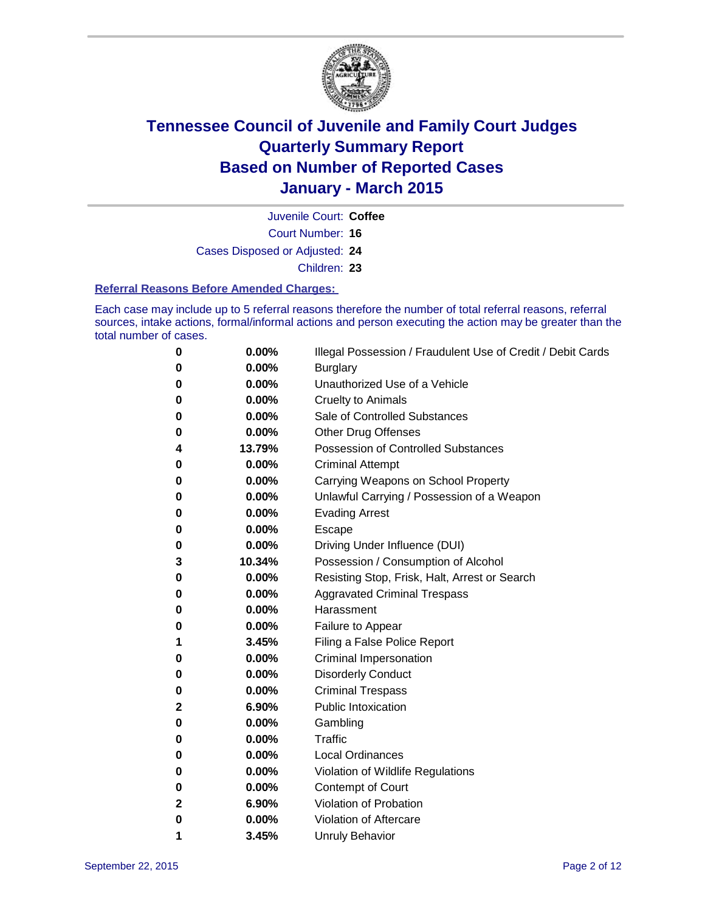

Juvenile Court: **Coffee**

Court Number: **16**

Cases Disposed or Adjusted: **24**

Children: **23**

#### **Referral Reasons Before Amended Charges:**

Each case may include up to 5 referral reasons therefore the number of total referral reasons, referral sources, intake actions, formal/informal actions and person executing the action may be greater than the total number of cases.

| 0            | 0.00%  | Illegal Possession / Fraudulent Use of Credit / Debit Cards |
|--------------|--------|-------------------------------------------------------------|
| 0            | 0.00%  | <b>Burglary</b>                                             |
| 0            | 0.00%  | Unauthorized Use of a Vehicle                               |
| 0            | 0.00%  | <b>Cruelty to Animals</b>                                   |
| 0            | 0.00%  | Sale of Controlled Substances                               |
| 0            | 0.00%  | <b>Other Drug Offenses</b>                                  |
| 4            | 13.79% | <b>Possession of Controlled Substances</b>                  |
| 0            | 0.00%  | <b>Criminal Attempt</b>                                     |
| 0            | 0.00%  | Carrying Weapons on School Property                         |
| 0            | 0.00%  | Unlawful Carrying / Possession of a Weapon                  |
| 0            | 0.00%  | <b>Evading Arrest</b>                                       |
| 0            | 0.00%  | Escape                                                      |
| 0            | 0.00%  | Driving Under Influence (DUI)                               |
| 3            | 10.34% | Possession / Consumption of Alcohol                         |
| 0            | 0.00%  | Resisting Stop, Frisk, Halt, Arrest or Search               |
| 0            | 0.00%  | <b>Aggravated Criminal Trespass</b>                         |
| 0            | 0.00%  | Harassment                                                  |
| 0            | 0.00%  | Failure to Appear                                           |
| 1            | 3.45%  | Filing a False Police Report                                |
| 0            | 0.00%  | Criminal Impersonation                                      |
| 0            | 0.00%  | <b>Disorderly Conduct</b>                                   |
| 0            | 0.00%  | <b>Criminal Trespass</b>                                    |
| $\mathbf{2}$ | 6.90%  | <b>Public Intoxication</b>                                  |
| 0            | 0.00%  | Gambling                                                    |
| 0            | 0.00%  | <b>Traffic</b>                                              |
| 0            | 0.00%  | <b>Local Ordinances</b>                                     |
| 0            | 0.00%  | Violation of Wildlife Regulations                           |
| 0            | 0.00%  | <b>Contempt of Court</b>                                    |
| 2            | 6.90%  | Violation of Probation                                      |
| 0            | 0.00%  | Violation of Aftercare                                      |
| 1            | 3.45%  | <b>Unruly Behavior</b>                                      |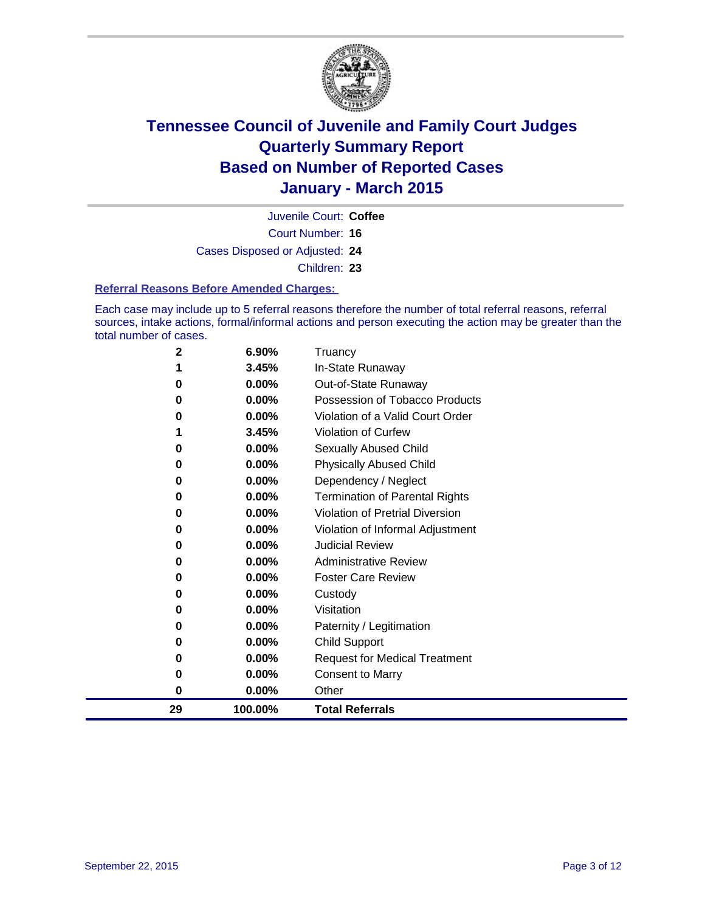

Court Number: **16** Juvenile Court: **Coffee** Cases Disposed or Adjusted: **24** Children: **23**

#### **Referral Reasons Before Amended Charges:**

Each case may include up to 5 referral reasons therefore the number of total referral reasons, referral sources, intake actions, formal/informal actions and person executing the action may be greater than the total number of cases.

| 2  | 6.90%    | Truancy                                |
|----|----------|----------------------------------------|
| 1  | 3.45%    | In-State Runaway                       |
| 0  | 0.00%    | Out-of-State Runaway                   |
| 0  | 0.00%    | Possession of Tobacco Products         |
| 0  | 0.00%    | Violation of a Valid Court Order       |
| 1  | 3.45%    | <b>Violation of Curfew</b>             |
| 0  | $0.00\%$ | Sexually Abused Child                  |
| 0  | 0.00%    | <b>Physically Abused Child</b>         |
| 0  | 0.00%    | Dependency / Neglect                   |
| 0  | 0.00%    | <b>Termination of Parental Rights</b>  |
| 0  | 0.00%    | <b>Violation of Pretrial Diversion</b> |
| 0  | 0.00%    | Violation of Informal Adjustment       |
| 0  | 0.00%    | <b>Judicial Review</b>                 |
| 0  | 0.00%    | <b>Administrative Review</b>           |
| 0  | 0.00%    | <b>Foster Care Review</b>              |
| 0  | 0.00%    | Custody                                |
| 0  | $0.00\%$ | Visitation                             |
| 0  | 0.00%    | Paternity / Legitimation               |
| 0  | 0.00%    | Child Support                          |
| 0  | 0.00%    | <b>Request for Medical Treatment</b>   |
| 0  | 0.00%    | <b>Consent to Marry</b>                |
| 0  | 0.00%    | Other                                  |
| 29 | 100.00%  | <b>Total Referrals</b>                 |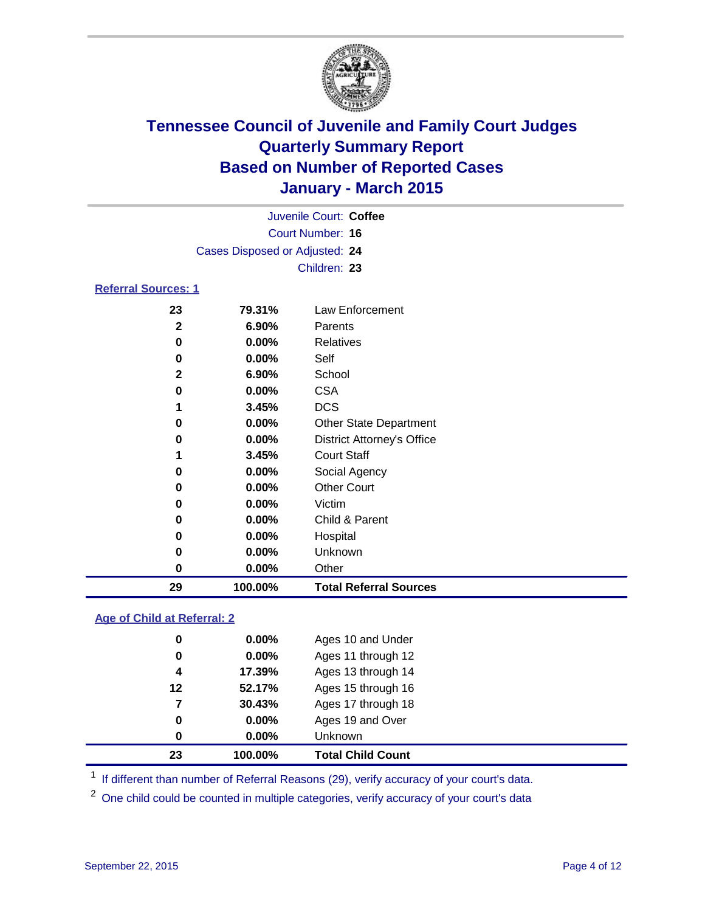

|                            |                                | Juvenile Court: Coffee            |
|----------------------------|--------------------------------|-----------------------------------|
|                            |                                | Court Number: 16                  |
|                            | Cases Disposed or Adjusted: 24 |                                   |
|                            |                                | Children: 23                      |
| <b>Referral Sources: 1</b> |                                |                                   |
| 23                         | 79.31%                         | Law Enforcement                   |
| 2                          | $6.90\%$                       | Parents                           |
| 0                          | $0.00\%$                       | <b>Relatives</b>                  |
| 0                          | 0.00%                          | Self                              |
| 2                          | $6.90\%$                       | School                            |
| 0                          | $0.00\%$                       | <b>CSA</b>                        |
| 1                          | 3.45%                          | <b>DCS</b>                        |
| 0                          | $0.00\%$                       | <b>Other State Department</b>     |
| 0                          | $0.00\%$                       | <b>District Attorney's Office</b> |
| 1                          | 3.45%                          | <b>Court Staff</b>                |
| 0                          | $0.00\%$                       | Social Agency                     |
| 0                          | $0.00\%$                       | <b>Other Court</b>                |
| 0                          | $0.00\%$                       | Victim                            |

| 29 | 100.00%  | <b>Total Referral Sources</b> |
|----|----------|-------------------------------|
| 0  | $0.00\%$ | Other                         |
| 0  | $0.00\%$ | Unknown                       |
| 0  | $0.00\%$ | Hospital                      |
| 0  | $0.00\%$ | Child & Parent                |
|    | <u></u>  | ,,,,,,,,                      |

#### **Age of Child at Referral: 2**

|    | 100.00%  | <b>Total Child Count</b> |
|----|----------|--------------------------|
| 0  | $0.00\%$ | <b>Unknown</b>           |
| 0  | $0.00\%$ | Ages 19 and Over         |
| 7  | 30.43%   | Ages 17 through 18       |
| 12 | 52.17%   | Ages 15 through 16       |
| 4  | 17.39%   | Ages 13 through 14       |
| 0  | 0.00%    | Ages 11 through 12       |
| 0  | $0.00\%$ | Ages 10 and Under        |
|    | 23       |                          |

<sup>1</sup> If different than number of Referral Reasons (29), verify accuracy of your court's data.

One child could be counted in multiple categories, verify accuracy of your court's data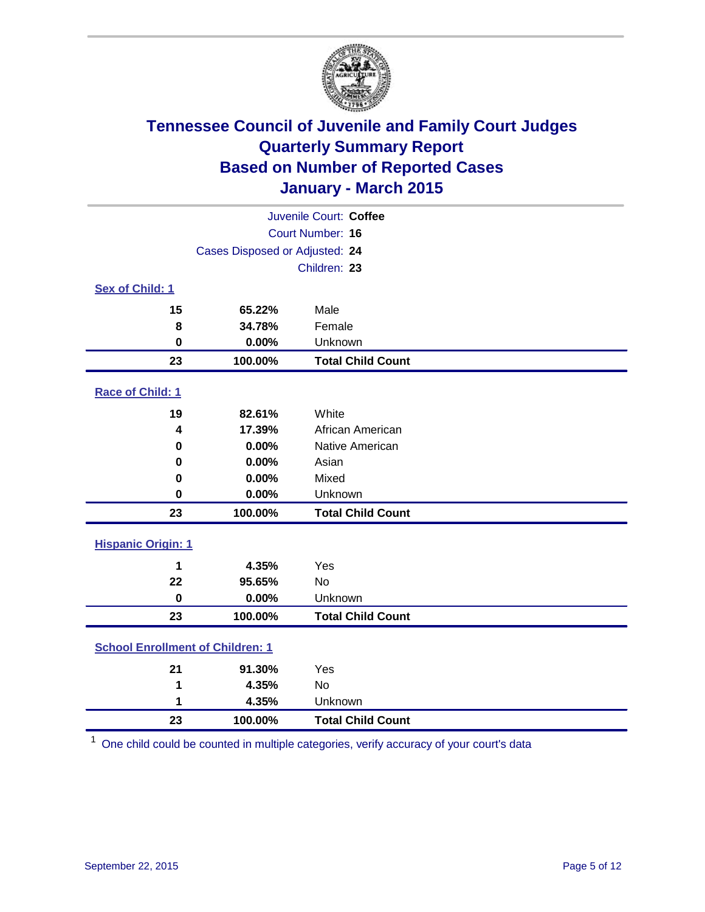

|                                         |                                | Juvenile Court: Coffee   |
|-----------------------------------------|--------------------------------|--------------------------|
|                                         |                                | Court Number: 16         |
|                                         | Cases Disposed or Adjusted: 24 |                          |
|                                         |                                | Children: 23             |
| Sex of Child: 1                         |                                |                          |
| 15                                      | 65.22%                         | Male                     |
| 8                                       | 34.78%                         | Female                   |
| $\bf{0}$                                | 0.00%                          | Unknown                  |
| 23                                      | 100.00%                        | <b>Total Child Count</b> |
| Race of Child: 1                        |                                |                          |
| 19                                      | 82.61%                         | White                    |
| 4                                       | 17.39%                         | African American         |
| 0                                       | 0.00%                          | Native American          |
| 0                                       | 0.00%                          | Asian                    |
| 0                                       | 0.00%                          | Mixed                    |
| 0                                       | 0.00%                          | Unknown                  |
| 23                                      | 100.00%                        | <b>Total Child Count</b> |
| <b>Hispanic Origin: 1</b>               |                                |                          |
| 1                                       | 4.35%                          | Yes                      |
| 22                                      | 95.65%                         | <b>No</b>                |
| $\bf{0}$                                | 0.00%                          | Unknown                  |
| 23                                      | 100.00%                        | <b>Total Child Count</b> |
| <b>School Enrollment of Children: 1</b> |                                |                          |
|                                         |                                |                          |
| 21                                      | 91.30%<br>4.35%                | Yes<br><b>No</b>         |
| 1<br>1                                  | 4.35%                          | Unknown                  |
| 23                                      |                                |                          |
|                                         | 100.00%                        | <b>Total Child Count</b> |

One child could be counted in multiple categories, verify accuracy of your court's data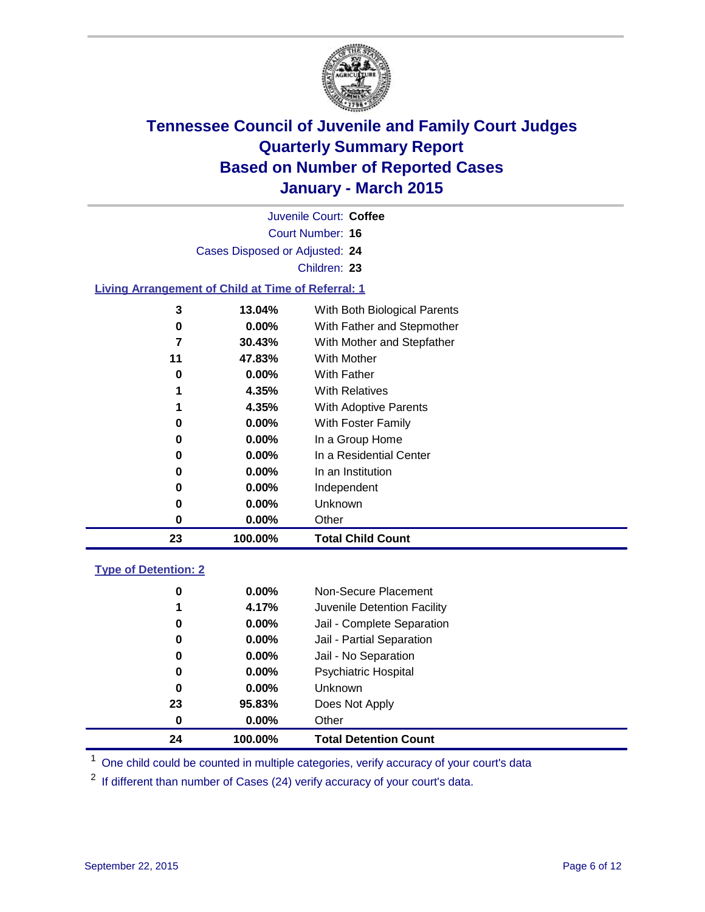

|                             |                                                           | Juvenile Court: Coffee       |
|-----------------------------|-----------------------------------------------------------|------------------------------|
|                             |                                                           | Court Number: 16             |
|                             | Cases Disposed or Adjusted: 24                            |                              |
|                             |                                                           | Children: 23                 |
|                             | <b>Living Arrangement of Child at Time of Referral: 1</b> |                              |
| 3                           | 13.04%                                                    | With Both Biological Parents |
| $\pmb{0}$                   | $0.00\%$                                                  | With Father and Stepmother   |
| 7                           | 30.43%                                                    | With Mother and Stepfather   |
| 11                          | 47.83%                                                    | With Mother                  |
| 0                           | $0.00\%$                                                  | With Father                  |
| 1                           | 4.35%                                                     | <b>With Relatives</b>        |
| 1                           | 4.35%                                                     | With Adoptive Parents        |
| 0                           | 0.00%                                                     | With Foster Family           |
| 0                           | $0.00\%$                                                  | In a Group Home              |
| 0                           | 0.00%                                                     | In a Residential Center      |
| 0                           | $0.00\%$                                                  | In an Institution            |
| 0                           | 0.00%                                                     | Independent                  |
| 0                           | $0.00\%$                                                  | Unknown                      |
| $\mathbf 0$                 | 0.00%                                                     | Other                        |
| 23                          | 100.00%                                                   | <b>Total Child Count</b>     |
| <b>Type of Detention: 2</b> |                                                           |                              |
| $\pmb{0}$                   | 0.00%                                                     | Non-Secure Placement         |
| 1                           | 4.17%                                                     | Juvenile Detention Facility  |
| 0                           | 0.00%                                                     | Jail - Complete Separation   |
| 0                           | 0.00%                                                     | Jail - Partial Separation    |
| 0                           | 0.00%                                                     | Jail - No Separation         |
| 0                           | $0.00\%$                                                  | <b>Psychiatric Hospital</b>  |
| 0                           | 0.00%                                                     | Unknown                      |

**100.00% Total Detention Count**

<sup>1</sup> One child could be counted in multiple categories, verify accuracy of your court's data

If different than number of Cases (24) verify accuracy of your court's data.

**95.83%** Does Not Apply

**0.00%** Other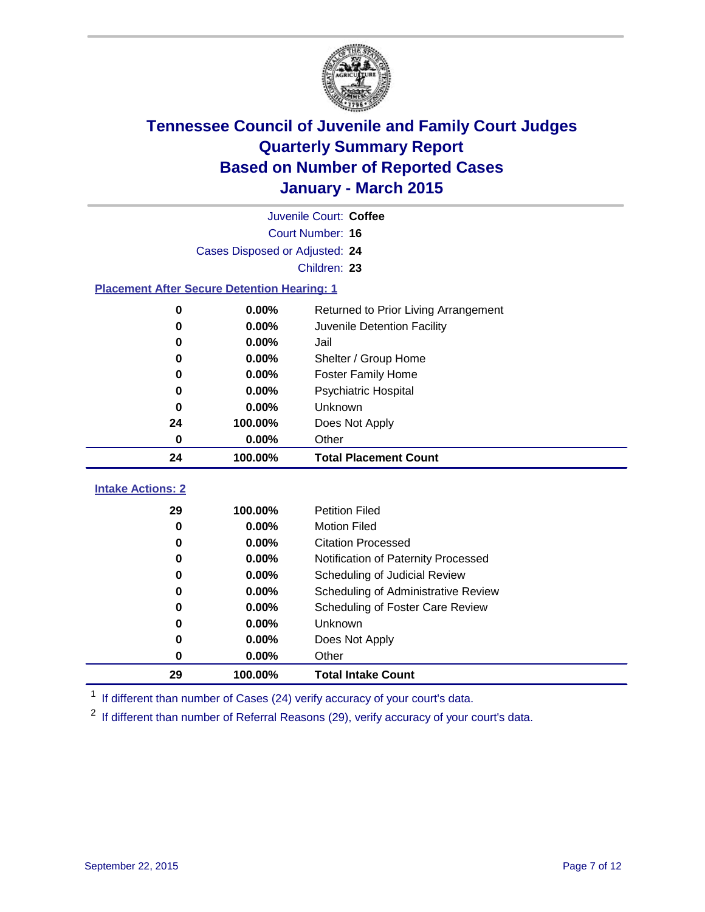

|                                                    |                                | Juvenile Court: Coffee               |
|----------------------------------------------------|--------------------------------|--------------------------------------|
|                                                    |                                | <b>Court Number: 16</b>              |
|                                                    | Cases Disposed or Adjusted: 24 |                                      |
|                                                    |                                | Children: 23                         |
| <b>Placement After Secure Detention Hearing: 1</b> |                                |                                      |
| 0                                                  | 0.00%                          | Returned to Prior Living Arrangement |
| 0                                                  | 0.00%                          | Juvenile Detention Facility          |
| 0                                                  | 0.00%                          | Jail                                 |
| $\bf{0}$                                           | 0.00%                          | Shelter / Group Home                 |
| 0                                                  | 0.00%                          | <b>Foster Family Home</b>            |
| 0                                                  | 0.00%                          | <b>Psychiatric Hospital</b>          |
| 0                                                  | 0.00%                          | <b>Unknown</b>                       |
| 24                                                 | 100.00%                        | Does Not Apply                       |
| 0                                                  | 0.00%                          | Other                                |
| 24                                                 | 100.00%                        | <b>Total Placement Count</b>         |
| <b>Intake Actions: 2</b>                           |                                |                                      |
| 29                                                 | 100.00%                        | <b>Petition Filed</b>                |
| $\bf{0}$                                           | 0.00%                          | <b>Motion Filed</b>                  |
| 0                                                  | 0.00%                          | <b>Citation Processed</b>            |
| 0                                                  | 0.00%                          | Notification of Paternity Processed  |
| 0                                                  | 0.00%                          | Scheduling of Judicial Review        |
| $\bf{0}$                                           | 0.00%                          | Scheduling of Administrative Review  |
| 0                                                  | 0.00%                          | Scheduling of Foster Care Review     |
| 0                                                  | 0.00%                          | Unknown                              |
| 0                                                  | 0.00%                          | Does Not Apply                       |
| 0                                                  | 0.00%                          | Other                                |
| 29                                                 | 100.00%                        | <b>Total Intake Count</b>            |

<sup>1</sup> If different than number of Cases (24) verify accuracy of your court's data.

<sup>2</sup> If different than number of Referral Reasons (29), verify accuracy of your court's data.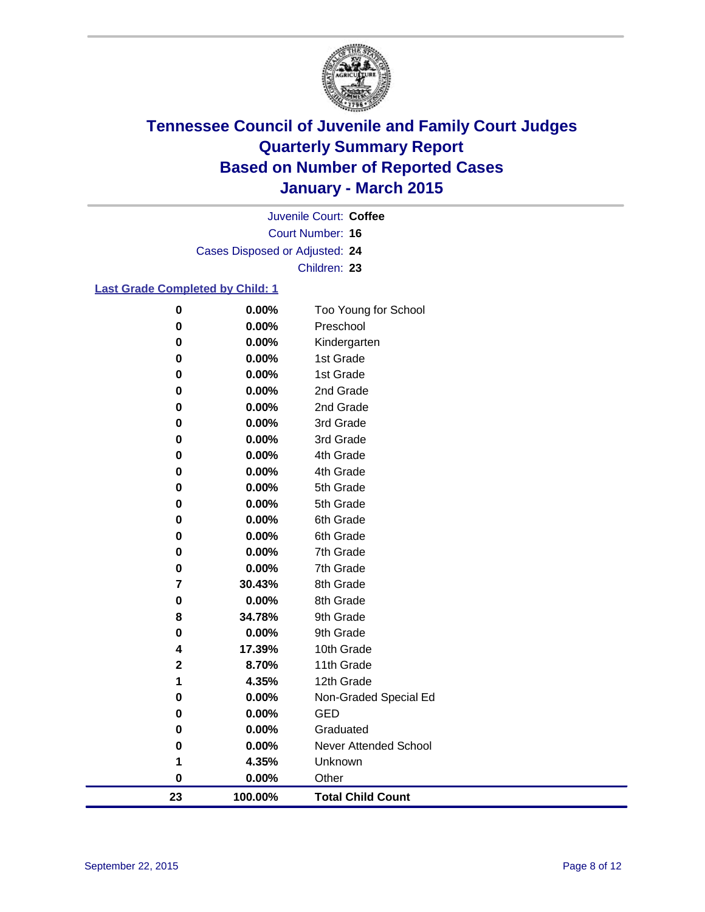

Court Number: **16** Juvenile Court: **Coffee** Cases Disposed or Adjusted: **24** Children: **23**

#### **Last Grade Completed by Child: 1**

| $\mathbf 0$ | 0.00%    | Too Young for School         |  |
|-------------|----------|------------------------------|--|
| 0           | 0.00%    | Preschool                    |  |
| $\bf{0}$    | 0.00%    | Kindergarten                 |  |
| 0           | 0.00%    | 1st Grade                    |  |
| 0           | 0.00%    | 1st Grade                    |  |
| 0           | 0.00%    | 2nd Grade                    |  |
| $\bf{0}$    | 0.00%    | 2nd Grade                    |  |
| $\bf{0}$    | 0.00%    | 3rd Grade                    |  |
| 0           | 0.00%    | 3rd Grade                    |  |
| $\pmb{0}$   | 0.00%    | 4th Grade                    |  |
| 0           | 0.00%    | 4th Grade                    |  |
| 0           | $0.00\%$ | 5th Grade                    |  |
| 0           | 0.00%    | 5th Grade                    |  |
| $\bf{0}$    | 0.00%    | 6th Grade                    |  |
| 0           | 0.00%    | 6th Grade                    |  |
| 0           | 0.00%    | 7th Grade                    |  |
| 0           | 0.00%    | 7th Grade                    |  |
| 7           | 30.43%   | 8th Grade                    |  |
| 0           | 0.00%    | 8th Grade                    |  |
| 8           | 34.78%   | 9th Grade                    |  |
| 0           | 0.00%    | 9th Grade                    |  |
| 4           | 17.39%   | 10th Grade                   |  |
| $\bf 2$     | 8.70%    | 11th Grade                   |  |
| 1           | 4.35%    | 12th Grade                   |  |
| 0           | 0.00%    | Non-Graded Special Ed        |  |
| 0           | 0.00%    | GED                          |  |
| $\bf{0}$    | 0.00%    | Graduated                    |  |
| 0           | 0.00%    | <b>Never Attended School</b> |  |
| 1           | 4.35%    | Unknown                      |  |
| $\bf{0}$    | 0.00%    | Other                        |  |
| 23          | 100.00%  | <b>Total Child Count</b>     |  |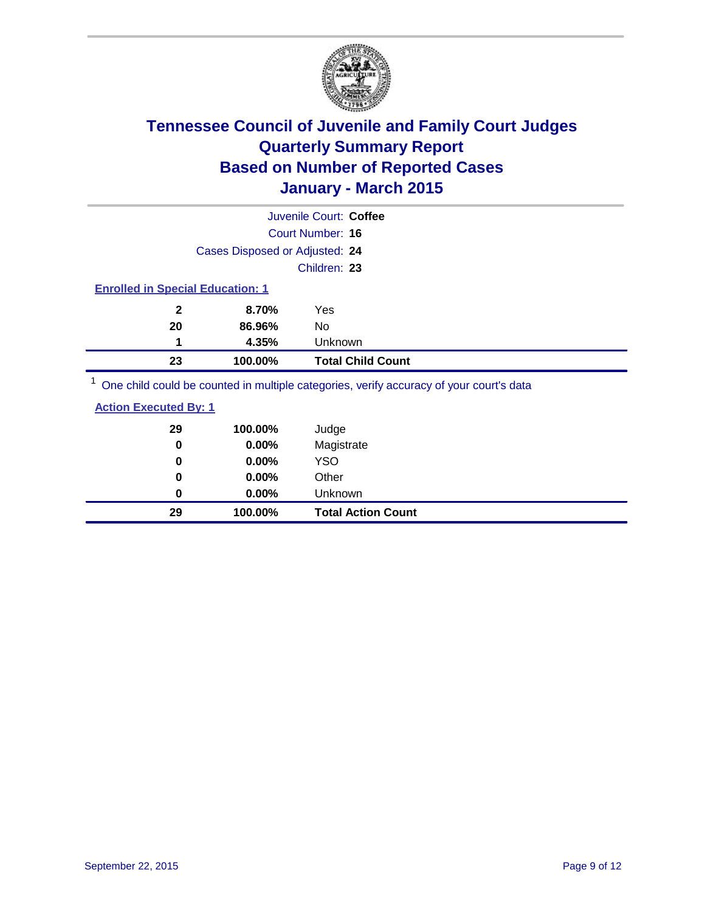

|                                         |                                | Juvenile Court: Coffee                                                                              |
|-----------------------------------------|--------------------------------|-----------------------------------------------------------------------------------------------------|
|                                         |                                | Court Number: 16                                                                                    |
|                                         | Cases Disposed or Adjusted: 24 |                                                                                                     |
|                                         |                                | Children: 23                                                                                        |
| <b>Enrolled in Special Education: 1</b> |                                |                                                                                                     |
| $\mathbf{2}$                            | 8.70%                          | Yes                                                                                                 |
| 20                                      | 86.96%                         | No                                                                                                  |
| 1                                       | 4.35%                          | Unknown                                                                                             |
| 23                                      | 100.00%                        | <b>Total Child Count</b>                                                                            |
|                                         |                                | $\frac{1}{2}$ One obild equid be counted in multiple estegation verify conveny of your courtle data |

<sup>1</sup> One child could be counted in multiple categories, verify accuracy of your court's data

| <b>Action Executed By: 1</b> |
|------------------------------|
|------------------------------|

| 29<br>0 | 100.00%<br>0.00% | Judge<br>Magistrate       |
|---------|------------------|---------------------------|
| 0       | $0.00\%$         | <b>YSO</b>                |
| 0       | 0.00%            | Other                     |
| 0       | $0.00\%$         | Unknown                   |
| 29      | 100.00%          | <b>Total Action Count</b> |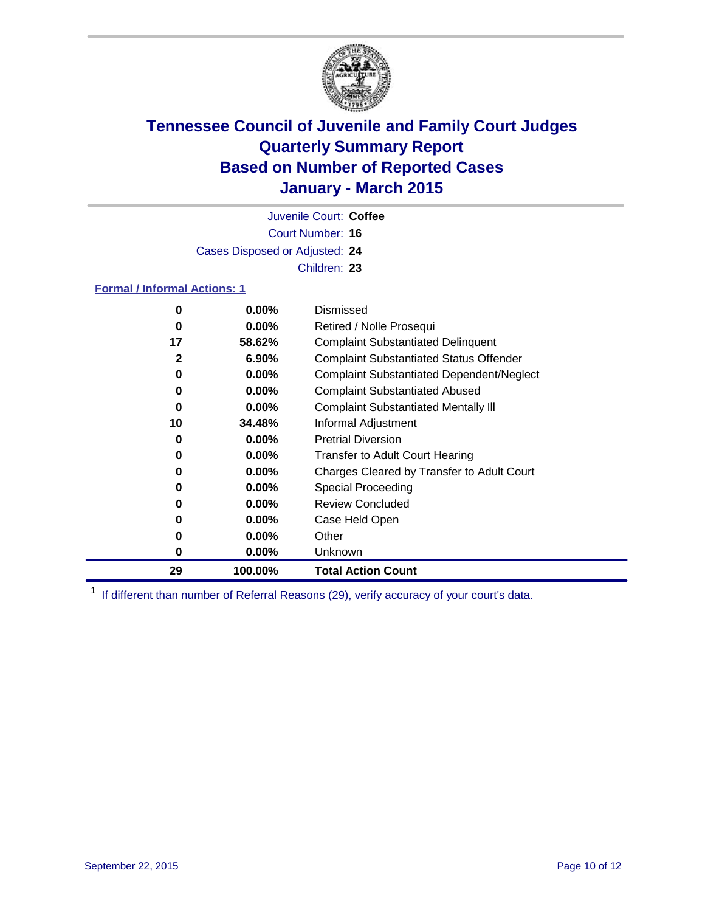

Court Number: **16** Juvenile Court: **Coffee** Cases Disposed or Adjusted: **24** Children: **23**

#### **Formal / Informal Actions: 1**

| 0  | $0.00\%$ | Dismissed                                        |
|----|----------|--------------------------------------------------|
| 0  | $0.00\%$ | Retired / Nolle Prosequi                         |
| 17 | 58.62%   | <b>Complaint Substantiated Delinquent</b>        |
| 2  | $6.90\%$ | <b>Complaint Substantiated Status Offender</b>   |
| 0  | $0.00\%$ | <b>Complaint Substantiated Dependent/Neglect</b> |
| 0  | $0.00\%$ | <b>Complaint Substantiated Abused</b>            |
| 0  | $0.00\%$ | <b>Complaint Substantiated Mentally III</b>      |
| 10 | 34.48%   | Informal Adjustment                              |
| 0  | $0.00\%$ | <b>Pretrial Diversion</b>                        |
| 0  | $0.00\%$ | <b>Transfer to Adult Court Hearing</b>           |
| 0  | $0.00\%$ | Charges Cleared by Transfer to Adult Court       |
| 0  | $0.00\%$ | Special Proceeding                               |
| 0  | $0.00\%$ | <b>Review Concluded</b>                          |
| 0  | $0.00\%$ | Case Held Open                                   |
| 0  | $0.00\%$ | Other                                            |
| 0  | $0.00\%$ | Unknown                                          |
| 29 | 100.00%  | <b>Total Action Count</b>                        |

<sup>1</sup> If different than number of Referral Reasons (29), verify accuracy of your court's data.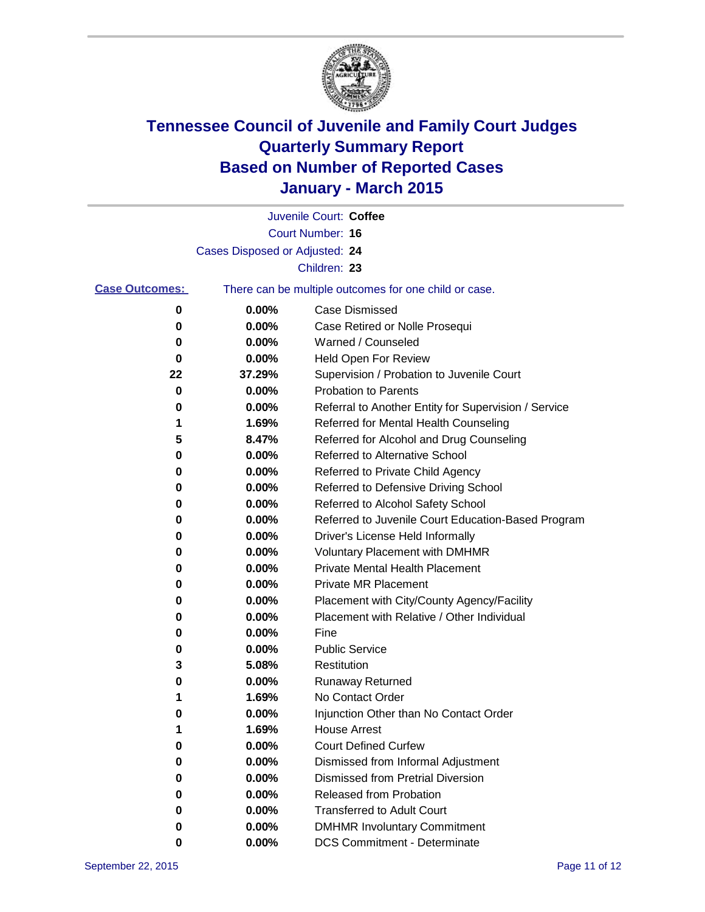

|                       |                                                       | Juvenile Court: Coffee                               |
|-----------------------|-------------------------------------------------------|------------------------------------------------------|
|                       |                                                       | Court Number: 16                                     |
|                       | Cases Disposed or Adjusted: 24                        |                                                      |
|                       |                                                       | Children: 23                                         |
| <b>Case Outcomes:</b> | There can be multiple outcomes for one child or case. |                                                      |
| 0                     | 0.00%                                                 | <b>Case Dismissed</b>                                |
| 0                     | 0.00%                                                 | Case Retired or Nolle Prosequi                       |
| 0                     | 0.00%                                                 | Warned / Counseled                                   |
| 0                     | 0.00%                                                 | Held Open For Review                                 |
| 22                    | 37.29%                                                | Supervision / Probation to Juvenile Court            |
| 0                     | 0.00%                                                 | <b>Probation to Parents</b>                          |
| 0                     | 0.00%                                                 | Referral to Another Entity for Supervision / Service |
| 1                     | 1.69%                                                 | Referred for Mental Health Counseling                |
| 5                     | 8.47%                                                 | Referred for Alcohol and Drug Counseling             |
| 0                     | 0.00%                                                 | <b>Referred to Alternative School</b>                |
| 0                     | 0.00%                                                 | Referred to Private Child Agency                     |
| 0                     | 0.00%                                                 | Referred to Defensive Driving School                 |
| 0                     | 0.00%                                                 | Referred to Alcohol Safety School                    |
| 0                     | 0.00%                                                 | Referred to Juvenile Court Education-Based Program   |
| 0                     | 0.00%                                                 | Driver's License Held Informally                     |
| 0                     | 0.00%                                                 | <b>Voluntary Placement with DMHMR</b>                |
| 0                     | 0.00%                                                 | <b>Private Mental Health Placement</b>               |
| 0                     | 0.00%                                                 | <b>Private MR Placement</b>                          |
| 0                     | 0.00%                                                 | Placement with City/County Agency/Facility           |
| 0                     | 0.00%                                                 | Placement with Relative / Other Individual           |
| 0                     | 0.00%                                                 | Fine                                                 |
| 0                     | 0.00%                                                 | <b>Public Service</b>                                |
| 3                     | 5.08%                                                 | Restitution                                          |
| 0                     | 0.00%                                                 | <b>Runaway Returned</b>                              |
| 1                     | 1.69%                                                 | No Contact Order                                     |
| 0                     | 0.00%                                                 | Injunction Other than No Contact Order               |
| 1                     | 1.69%                                                 | <b>House Arrest</b>                                  |
| 0                     | 0.00%                                                 | <b>Court Defined Curfew</b>                          |
| 0                     | 0.00%                                                 | Dismissed from Informal Adjustment                   |
| 0                     | 0.00%                                                 | <b>Dismissed from Pretrial Diversion</b>             |
| 0                     | 0.00%                                                 | Released from Probation                              |
| 0                     | 0.00%                                                 | <b>Transferred to Adult Court</b>                    |
| 0                     | 0.00%                                                 | <b>DMHMR Involuntary Commitment</b>                  |
| 0                     | $0.00\%$                                              | <b>DCS Commitment - Determinate</b>                  |